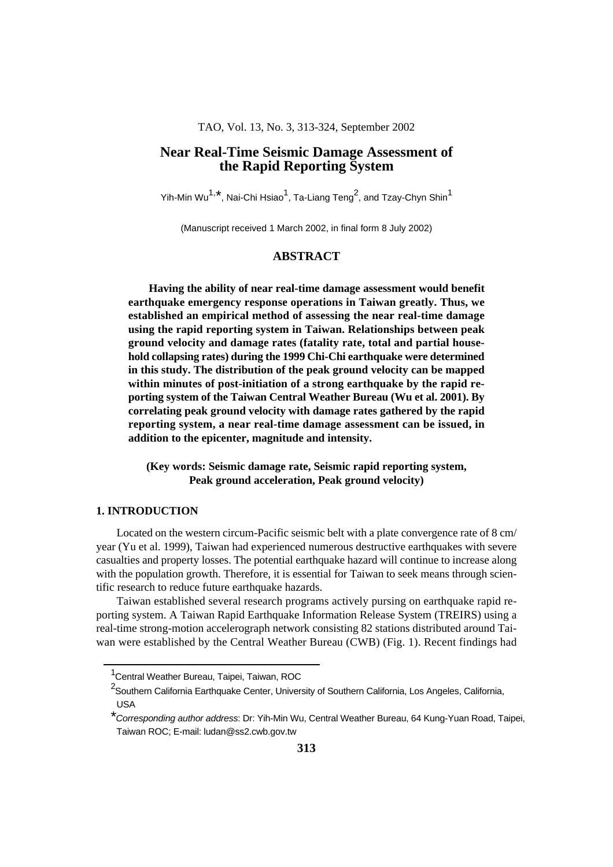#### TAO, Vol. 13, No. 3, 313-324, September 2002

# **Near Real-Time Seismic Damage Assessment of the Rapid Reporting System**

Yih-Min Wu<sup>1,\*</sup>, Nai-Chi Hsiao<sup>1</sup>, Ta-Liang Teng<sup>2</sup>, and Tzay-Chyn Shin<sup>1</sup>

(Manuscript received 1 March 2002, in final form 8 July 2002)

## **ABSTRACT**

**Having the ability of near real-time damage assessment would benefit earthquake emergency response operations in Taiwan greatly. Thus, we established an empirical method of assessing the near real-time damage using the rapid reporting system in Taiwan. Relationships between peak ground velocity and damage rates (fatality rate, total and partial household collapsing rates) during the 1999 Chi-Chi earthquake were determined in this study. The distribution of the peak ground velocity can be mapped within minutes of post-initiation of a strong earthquake by the rapid reporting system of the Taiwan Central Weather Bureau (Wu et al. 2001). By correlating peak ground velocity with damage rates gathered by the rapid reporting system, a near real-time damage assessment can be issued, in addition to the epicenter, magnitude and intensity.**

**(Key words: Seismic damage rate, Seismic rapid reporting system, Peak ground acceleration, Peak ground velocity)**

#### **1. INTRODUCTION**

Located on the western circum-Pacific seismic belt with a plate convergence rate of 8 cm/ year (Yu et al. 1999), Taiwan had experienced numerous destructive earthquakes with severe casualties and property losses. The potential earthquake hazard will continue to increase along with the population growth. Therefore, it is essential for Taiwan to seek means through scientific research to reduce future earthquake hazards.

Taiwan established several research programs actively pursing on earthquake rapid reporting system. A Taiwan Rapid Earthquake Information Release System (TREIRS) using a real-time strong-motion accelerograph network consisting 82 stations distributed around Taiwan were established by the Central Weather Bureau (CWB) (Fig. 1). Recent findings had

<sup>&</sup>lt;sup>1</sup> Central Weather Bureau, Taipei, Taiwan, ROC

<sup>&</sup>lt;sup>2</sup>Southern California Earthquake Center, University of Southern California, Los Angeles, California, USA

<sup>\*</sup>Corresponding author address: Dr: Yih-Min Wu, Central Weather Bureau, 64 Kung-Yuan Road, Taipei, Taiwan ROC; E-mail: ludan@ss2.cwb.gov.tw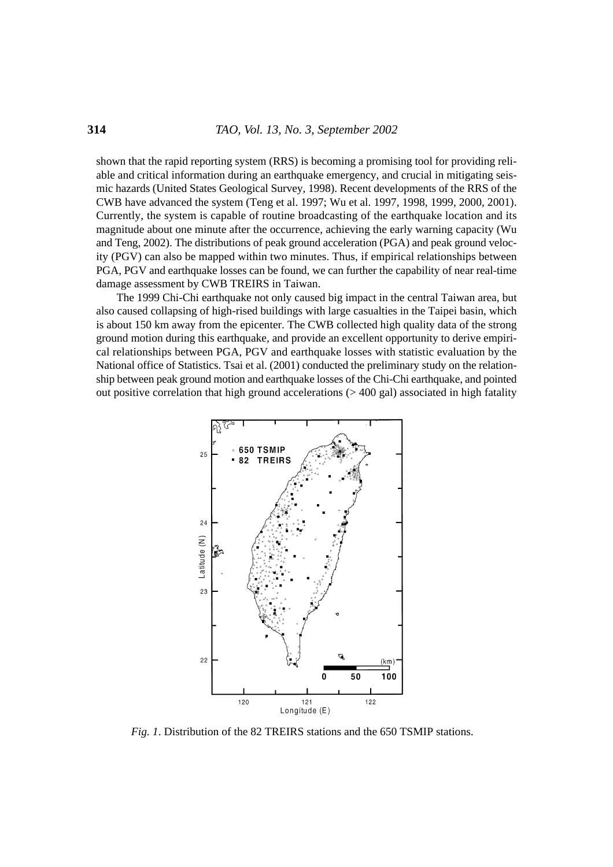shown that the rapid reporting system (RRS) is becoming a promising tool for providing reliable and critical information during an earthquake emergency, and crucial in mitigating seismic hazards (United States Geological Survey, 1998). Recent developments of the RRS of the CWB have advanced the system (Teng et al. 1997; Wu et al. 1997, 1998, 1999, 2000, 2001). Currently, the system is capable of routine broadcasting of the earthquake location and its magnitude about one minute after the occurrence, achieving the early warning capacity (Wu and Teng, 2002). The distributions of peak ground acceleration (PGA) and peak ground velocity (PGV) can also be mapped within two minutes. Thus, if empirical relationships between PGA, PGV and earthquake losses can be found, we can further the capability of near real-time damage assessment by CWB TREIRS in Taiwan.

The 1999 Chi-Chi earthquake not only caused big impact in the central Taiwan area, but also caused collapsing of high-rised buildings with large casualties in the Taipei basin, which is about 150 km away from the epicenter. The CWB collected high quality data of the strong ground motion during this earthquake, and provide an excellent opportunity to derive empirical relationships between PGA, PGV and earthquake losses with statistic evaluation by the National office of Statistics. Tsai et al. (2001) conducted the preliminary study on the relationship between peak ground motion and earthquake losses of the Chi-Chi earthquake, and pointed out positive correlation that high ground accelerations  $(>400 \text{ gal})$  associated in high fatality



*Fig. 1*. Distribution of the 82 TREIRS stations and the 650 TSMIP stations.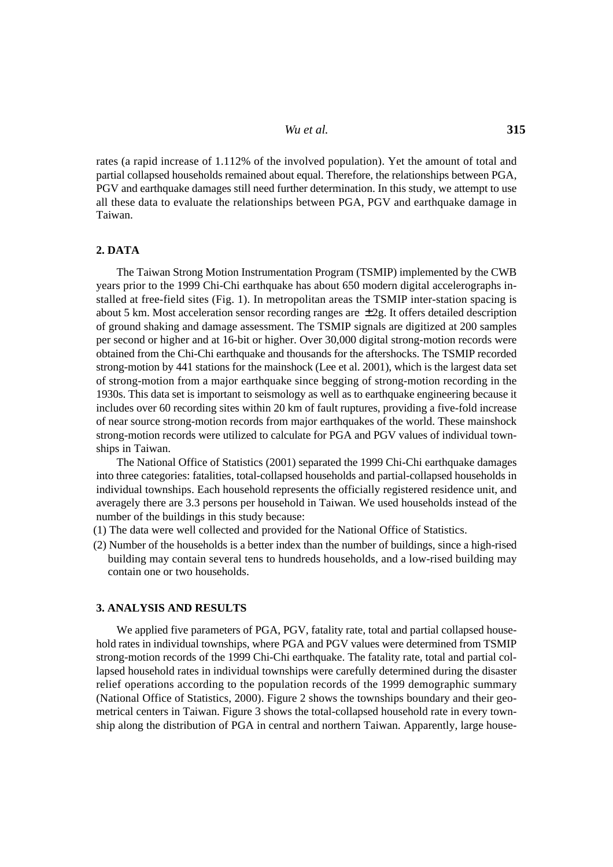*Wu et al.* **315**

rates (a rapid increase of 1.112% of the involved population). Yet the amount of total and partial collapsed households remained about equal. Therefore, the relationships between PGA, PGV and earthquake damages still need further determination. In this study, we attempt to use all these data to evaluate the relationships between PGA, PGV and earthquake damage in Taiwan.

#### **2. DATA**

The Taiwan Strong Motion Instrumentation Program (TSMIP) implemented by the CWB years prior to the 1999 Chi-Chi earthquake has about 650 modern digital accelerographs installed at free-field sites (Fig. 1). In metropolitan areas the TSMIP inter-station spacing is about 5 km. Most acceleration sensor recording ranges are  $\pm 2g$ . It offers detailed description of ground shaking and damage assessment. The TSMIP signals are digitized at 200 samples per second or higher and at 16-bit or higher. Over 30,000 digital strong-motion records were obtained from the Chi-Chi earthquake and thousands for the aftershocks. The TSMIP recorded strong-motion by 441 stations for the mainshock (Lee et al. 2001), which is the largest data set of strong-motion from a major earthquake since begging of strong-motion recording in the 1930s. This data set is important to seismology as well as to earthquake engineering because it includes over 60 recording sites within 20 km of fault ruptures, providing a five-fold increase of near source strong-motion records from major earthquakes of the world. These mainshock strong-motion records were utilized to calculate for PGA and PGV values of individual townships in Taiwan.

The National Office of Statistics (2001) separated the 1999 Chi-Chi earthquake damages into three categories: fatalities, total-collapsed households and partial-collapsed households in individual townships. Each household represents the officially registered residence unit, and averagely there are 3.3 persons per household in Taiwan. We used households instead of the number of the buildings in this study because:

- (1) The data were well collected and provided for the National Office of Statistics.
- (2) Number of the households is a better index than the number of buildings, since a high-rised building may contain several tens to hundreds households, and a low-rised building may contain one or two households.

#### **3. ANALYSIS AND RESULTS**

We applied five parameters of PGA, PGV, fatality rate, total and partial collapsed household rates in individual townships, where PGA and PGV values were determined from TSMIP strong-motion records of the 1999 Chi-Chi earthquake. The fatality rate, total and partial collapsed household rates in individual townships were carefully determined during the disaster relief operations according to the population records of the 1999 demographic summary (National Office of Statistics, 2000). Figure 2 shows the townships boundary and their geometrical centers in Taiwan. Figure 3 shows the total-collapsed household rate in every township along the distribution of PGA in central and northern Taiwan. Apparently, large house-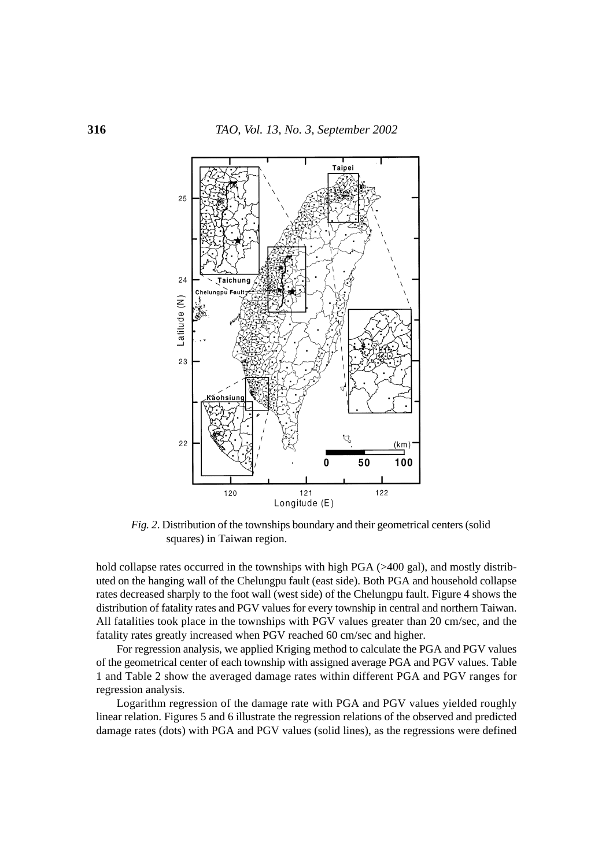

*Fig. 2*. Distribution of the townships boundary and their geometrical centers (solid squares) in Taiwan region.

hold collapse rates occurred in the townships with high PGA (>400 gal), and mostly distributed on the hanging wall of the Chelungpu fault (east side). Both PGA and household collapse rates decreased sharply to the foot wall (west side) of the Chelungpu fault. Figure 4 shows the distribution of fatality rates and PGV values for every township in central and northern Taiwan. All fatalities took place in the townships with PGV values greater than 20 cm/sec, and the fatality rates greatly increased when PGV reached 60 cm/sec and higher.

For regression analysis, we applied Kriging method to calculate the PGA and PGV values of the geometrical center of each township with assigned average PGA and PGV values. Table 1 and Table 2 show the averaged damage rates within different PGA and PGV ranges for regression analysis.

Logarithm regression of the damage rate with PGA and PGV values yielded roughly linear relation. Figures 5 and 6 illustrate the regression relations of the observed and predicted damage rates (dots) with PGA and PGV values (solid lines), as the regressions were defined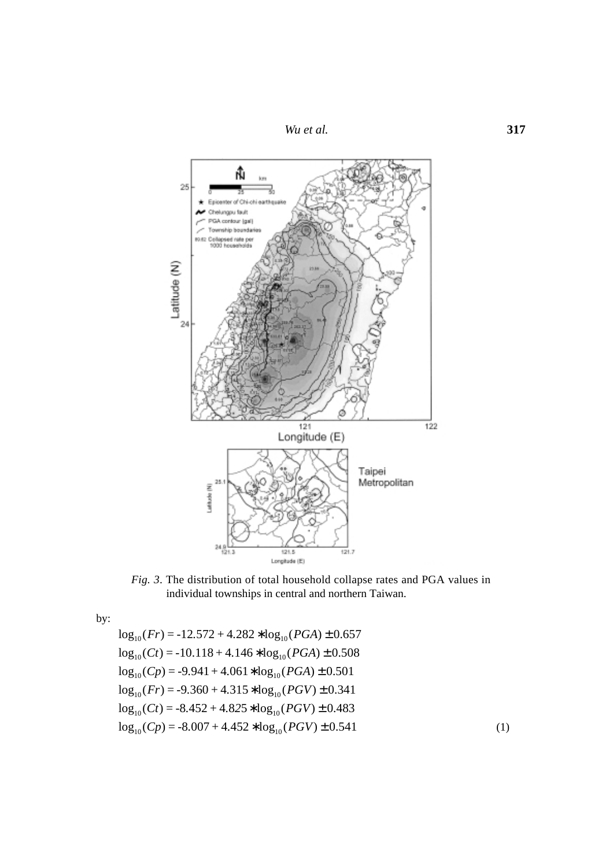*Wu et al.* **317**



*Fig. 3*. The distribution of total household collapse rates and PGA values in individual townships in central and northern Taiwan.

by:

 $\log_{10}(Fr) = -12.572 + 4.282 * \log_{10}(PGA) \pm 0.657$  $\log_{10}(Ct) = -10.118 + 4.146 * \log_{10}(PGA) \pm 0.508$  $\log_{10}(C_p) = -9.941 + 4.061 * \log_{10}(PGA) \pm 0.501$  $\log_{10}(Fr) = -9.360 + 4.315 * \log_{10}(PGV) \pm 0.341$  $log_{10}( Ct) = -8.452 + 4.825 * log_{10}(PGV) \pm 0.483$  $\log_{10}(C_p) = -8.007 + 4.452 * \log_{10}(PGV) \pm 0.541$  (1)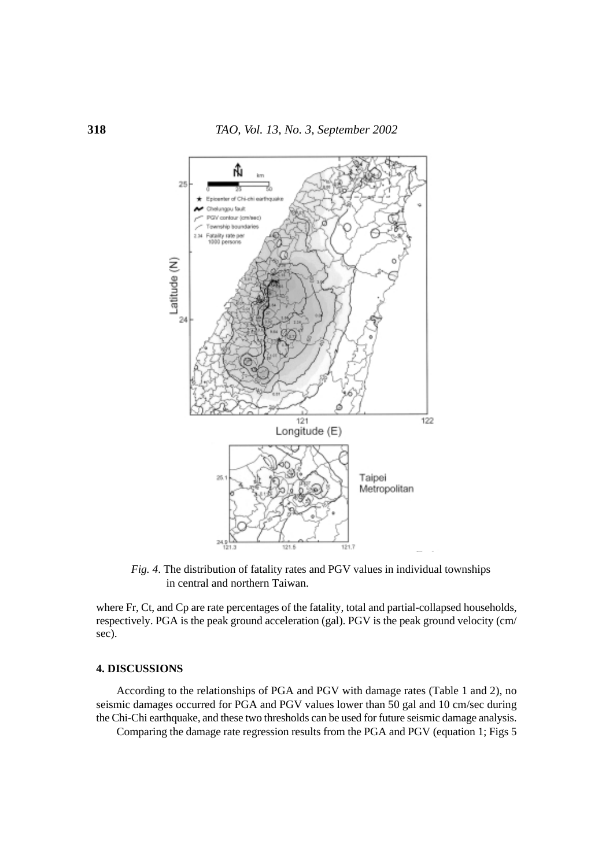

*Fig. 4*. The distribution of fatality rates and PGV values in individual townships in central and northern Taiwan.

where Fr, Ct, and Cp are rate percentages of the fatality, total and partial-collapsed households, respectively. PGA is the peak ground acceleration (gal). PGV is the peak ground velocity (cm/ sec).

### **4. DISCUSSIONS**

According to the relationships of PGA and PGV with damage rates (Table 1 and 2), no seismic damages occurred for PGA and PGV values lower than 50 gal and 10 cm/sec during the Chi-Chi earthquake, and these two thresholds can be used for future seismic damage analysis.

Comparing the damage rate regression results from the PGA and PGV (equation 1; Figs 5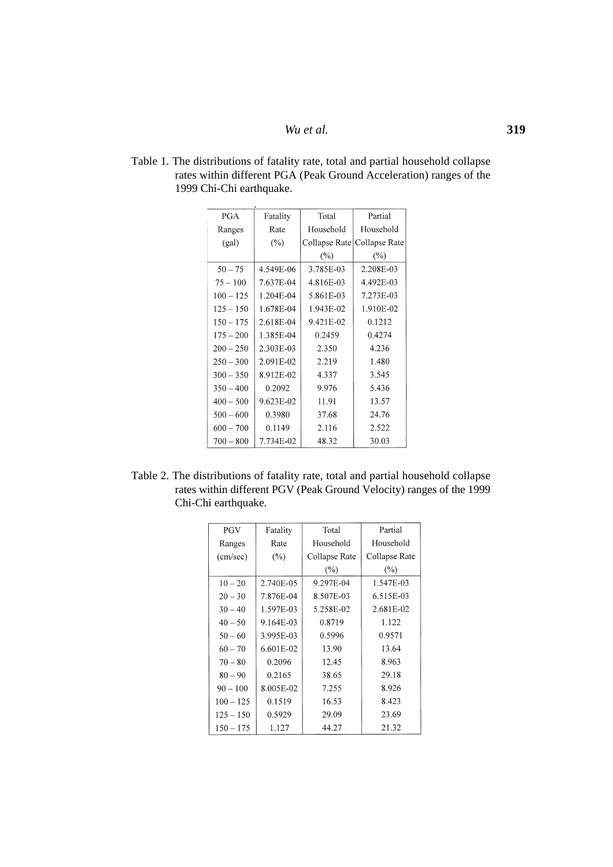*Wu et al.* **319**

| <b>PGA</b>  | Fatality  | Total         | Partial       |
|-------------|-----------|---------------|---------------|
| Ranges      | Rate      | Household     | Household     |
| (gal)       | $(\%)$    | Collapse Rate | Collapse Rate |
|             |           | (%)           | $(\%)$        |
| $50 - 75$   | 4.549E-06 | 3.785E-03     | 2.208E-03     |
| $75 - 100$  | 7.637E-04 | 4.816E-03     | 4.492E-03     |
| $100 - 125$ | 1.204E-04 | 5.861E-03     | 7.273E-03     |
| $125 - 150$ | 1.678E-04 | 1.943E-02     | 1.910E-02     |
| $150 - 175$ | 2.618E-04 | 9.421E-02     | 0.1212        |
| $175 - 200$ | 1.385E-04 | 0.2459        | 0.4274        |
| $200 - 250$ | 2.303E-03 | 2.350         | 4.236         |
| $250 - 300$ | 2.091E-02 | 2.219         | 1.480         |
| $300 - 350$ | 8.912E-02 | 4.337         | 3.545         |
| $350 - 400$ | 0.2092    | 9.976         | 5.436         |
| $400 - 500$ | 9.623E-02 | 11.91         | 13.57         |
| $500 - 600$ | 0.3980    | 37.68         | 24.76         |
| $600 - 700$ | 0.1149    | 2.116         | 2.522         |
| $700 - 800$ | 7.734E-02 | 48.32         | 30.03         |

Table 1. The distributions of fatality rate, total and partial household collapse rates within different PGA (Peak Ground Acceleration) ranges of the 1999 Chi-Chi earthquake.

Table 2. The distributions of fatality rate, total and partial household collapse rates within different PGV (Peak Ground Velocity) ranges of the 1999 Chi-Chi earthquake.

| <b>PGV</b>  | Fatality  | Total         | Partial       |
|-------------|-----------|---------------|---------------|
| Ranges      | Rate      | Household     | Household     |
| (cm/sec)    | $(\%)$    | Collapse Rate | Collapse Rate |
|             |           | $(\%)$        | $(\%)$        |
| $10 - 20$   | 2.740E-05 | 9.297E-04     | 1.547E-03     |
| $20 - 30$   | 7.876E-04 | 8.507E-03     | 6.515E-03     |
| $30 - 40$   | 1.597E-03 | 5.258E-02     | 2.681E-02     |
| $40 - 50$   | 9.164E-03 | 0.8719        | 1.122         |
| $50 - 60$   | 3.995E-03 | 0.5996        | 0.9571        |
| $60 - 70$   | 6.601E-02 | 13.90         | 13.64         |
| $70 - 80$   | 0.2096    | 12.45         | 8.963         |
| $80 - 90$   | 0.2165    | 38.65         | 29.18         |
| $90 - 100$  | 8.005E-02 | 7.255         | 8.926         |
| $100 - 125$ | 0.1519    | 16.53         | 8.423         |
| $125 - 150$ | 0.5929    | 29.09         | 23.69         |
| $150 - 175$ | 1.127     | 44.27         | 21.32         |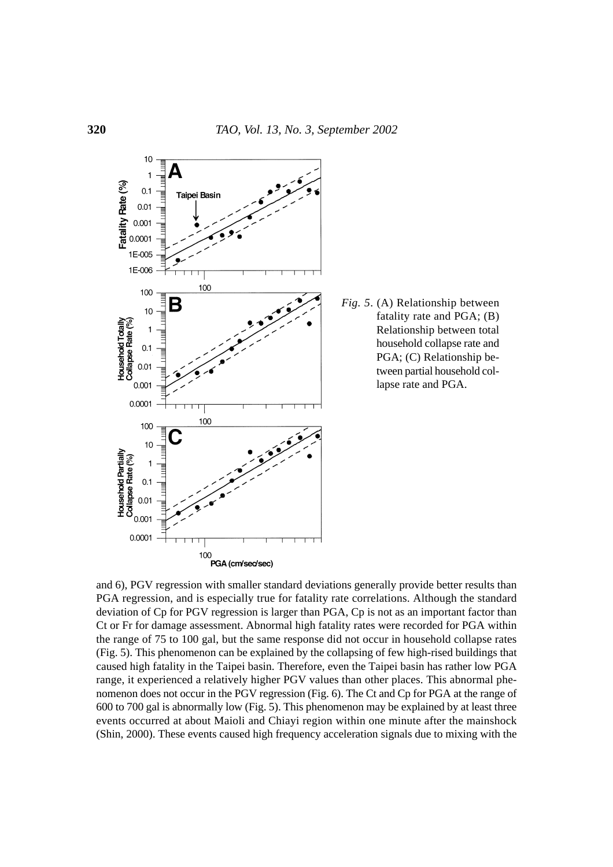

*Fig. 5*. (A) Relationship between fatality rate and PGA; (B) Relationship between total household collapse rate and PGA; (C) Relationship between partial household collapse rate and PGA.

and 6), PGV regression with smaller standard deviations generally provide better results than PGA regression, and is especially true for fatality rate correlations. Although the standard deviation of Cp for PGV regression is larger than PGA, Cp is not as an important factor than Ct or Fr for damage assessment. Abnormal high fatality rates were recorded for PGA within the range of 75 to 100 gal, but the same response did not occur in household collapse rates (Fig. 5). This phenomenon can be explained by the collapsing of few high-rised buildings that caused high fatality in the Taipei basin. Therefore, even the Taipei basin has rather low PGA range, it experienced a relatively higher PGV values than other places. This abnormal phenomenon does not occur in the PGV regression (Fig. 6). The Ct and Cp for PGA at the range of 600 to 700 gal is abnormally low (Fig. 5). This phenomenon may be explained by at least three events occurred at about Maioli and Chiayi region within one minute after the mainshock (Shin, 2000). These events caused high frequency acceleration signals due to mixing with the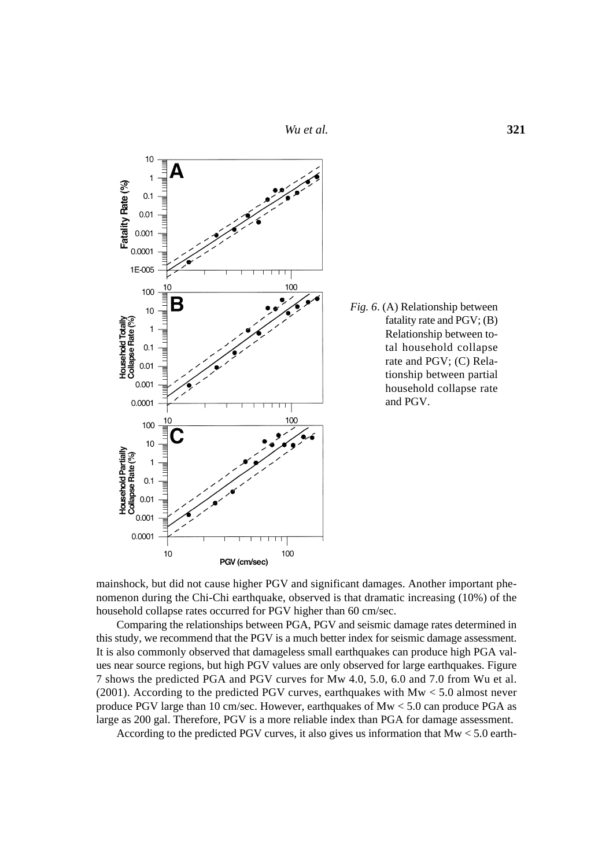*Wu et al.* **321**



*Fig. 6*. (A) Relationship between fatality rate and PGV; (B) Relationship between total household collapse rate and PGV; (C) Relationship between partial household collapse rate and PGV.

mainshock, but did not cause higher PGV and significant damages. Another important phenomenon during the Chi-Chi earthquake, observed is that dramatic increasing (10%) of the household collapse rates occurred for PGV higher than 60 cm/sec.

Comparing the relationships between PGA, PGV and seismic damage rates determined in this study, we recommend that the PGV is a much better index for seismic damage assessment. It is also commonly observed that damageless small earthquakes can produce high PGA values near source regions, but high PGV values are only observed for large earthquakes. Figure 7 shows the predicted PGA and PGV curves for Mw 4.0, 5.0, 6.0 and 7.0 from Wu et al. (2001). According to the predicted PGV curves, earthquakes with Mw < 5.0 almost never produce PGV large than 10 cm/sec. However, earthquakes of Mw < 5.0 can produce PGA as large as 200 gal. Therefore, PGV is a more reliable index than PGA for damage assessment.

According to the predicted PGV curves, it also gives us information that Mw < 5.0 earth-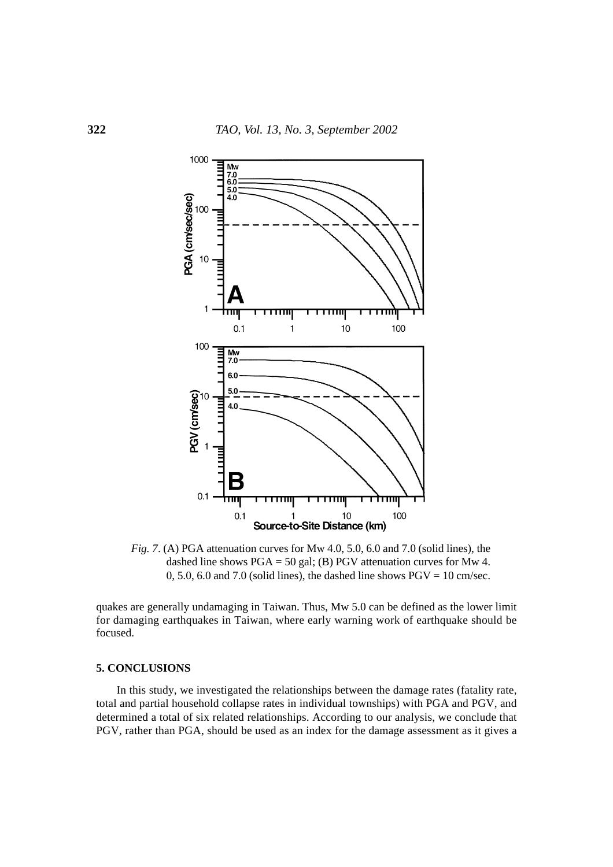

*Fig. 7*. (A) PGA attenuation curves for Mw 4.0, 5.0, 6.0 and 7.0 (solid lines), the dashed line shows PGA = 50 gal; (B) PGV attenuation curves for Mw 4. 0, 5.0, 6.0 and 7.0 (solid lines), the dashed line shows  $PGV = 10$  cm/sec.

quakes are generally undamaging in Taiwan. Thus, Mw 5.0 can be defined as the lower limit for damaging earthquakes in Taiwan, where early warning work of earthquake should be focused.

### **5. CONCLUSIONS**

In this study, we investigated the relationships between the damage rates (fatality rate, total and partial household collapse rates in individual townships) with PGA and PGV, and determined a total of six related relationships. According to our analysis, we conclude that PGV, rather than PGA, should be used as an index for the damage assessment as it gives a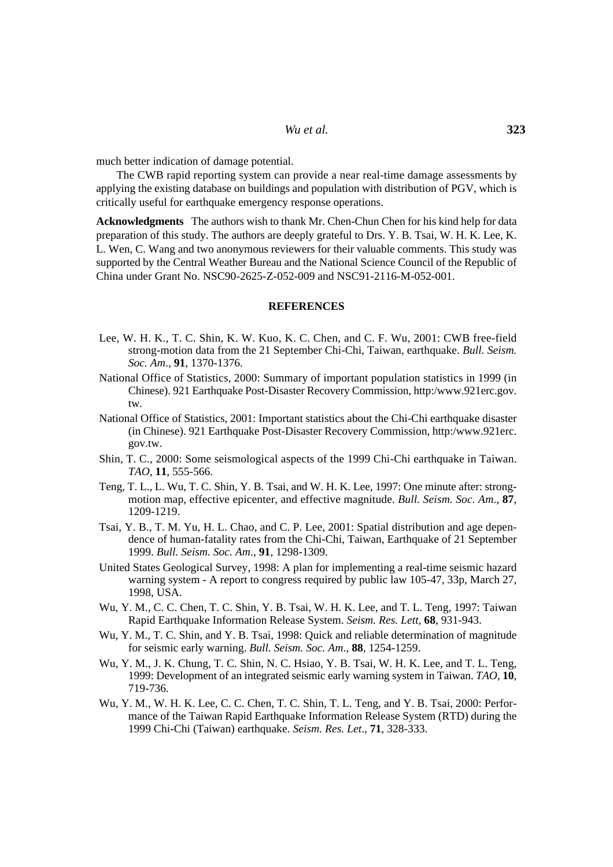much better indication of damage potential.

The CWB rapid reporting system can provide a near real-time damage assessments by applying the existing database on buildings and population with distribution of PGV, which is critically useful for earthquake emergency response operations.

**Acknowledgments** The authors wish to thank Mr. Chen-Chun Chen for his kind help for data preparation of this study. The authors are deeply grateful to Drs. Y. B. Tsai, W. H. K. Lee, K. L. Wen, C. Wang and two anonymous reviewers for their valuable comments. This study was supported by the Central Weather Bureau and the National Science Council of the Republic of China under Grant No. NSC90-2625-Z-052-009 and NSC91-2116-M-052-001.

#### **REFERENCES**

- Lee, W. H. K., T. C. Shin, K. W. Kuo, K. C. Chen, and C. F. Wu, 2001: CWB free-field strong-motion data from the 21 September Chi-Chi, Taiwan, earthquake. *Bull. Seism. Soc. Am*., **91**, 1370-1376.
- National Office of Statistics, 2000: Summary of important population statistics in 1999 (in Chinese). 921 Earthquake Post-Disaster Recovery Commission, http:/www.921erc.gov. tw.
- National Office of Statistics, 2001: Important statistics about the Chi-Chi earthquake disaster (in Chinese). 921 Earthquake Post-Disaster Recovery Commission, http:/www.921erc. gov.tw.
- Shin, T. C., 2000: Some seismological aspects of the 1999 Chi-Chi earthquake in Taiwan. *TAO*, **11**, 555-566.
- Teng, T. L., L. Wu, T. C. Shin, Y. B. Tsai, and W. H. K. Lee, 1997: One minute after: strongmotion map, effective epicenter, and effective magnitude. *Bull. Seism. Soc. Am*., **87**, 1209-1219.
- Tsai, Y. B., T. M. Yu, H. L. Chao, and C. P. Lee, 2001: Spatial distribution and age dependence of human-fatality rates from the Chi-Chi, Taiwan, Earthquake of 21 September 1999. *Bull. Seism. Soc. Am*., **91**, 1298-1309.
- United States Geological Survey, 1998: A plan for implementing a real-time seismic hazard warning system - A report to congress required by public law 105-47, 33p, March 27, 1998, USA.
- Wu, Y. M., C. C. Chen, T. C. Shin, Y. B. Tsai, W. H. K. Lee, and T. L. Teng, 1997: Taiwan Rapid Earthquake Information Release System. *Seism. Res. Lett*, **68**, 931-943.
- Wu, Y. M., T. C. Shin, and Y. B. Tsai, 1998: Quick and reliable determination of magnitude for seismic early warning. *Bull. Seism. Soc. Am*., **88**, 1254-1259.
- Wu, Y. M., J. K. Chung, T. C. Shin, N. C. Hsiao, Y. B. Tsai, W. H. K. Lee, and T. L. Teng, 1999: Development of an integrated seismic early warning system in Taiwan. *TAO*, **10**, 719-736.
- Wu, Y. M., W. H. K. Lee, C. C. Chen, T. C. Shin, T. L. Teng, and Y. B. Tsai, 2000: Performance of the Taiwan Rapid Earthquake Information Release System (RTD) during the 1999 Chi-Chi (Taiwan) earthquake. *Seism. Res. Let*., **71**, 328-333.